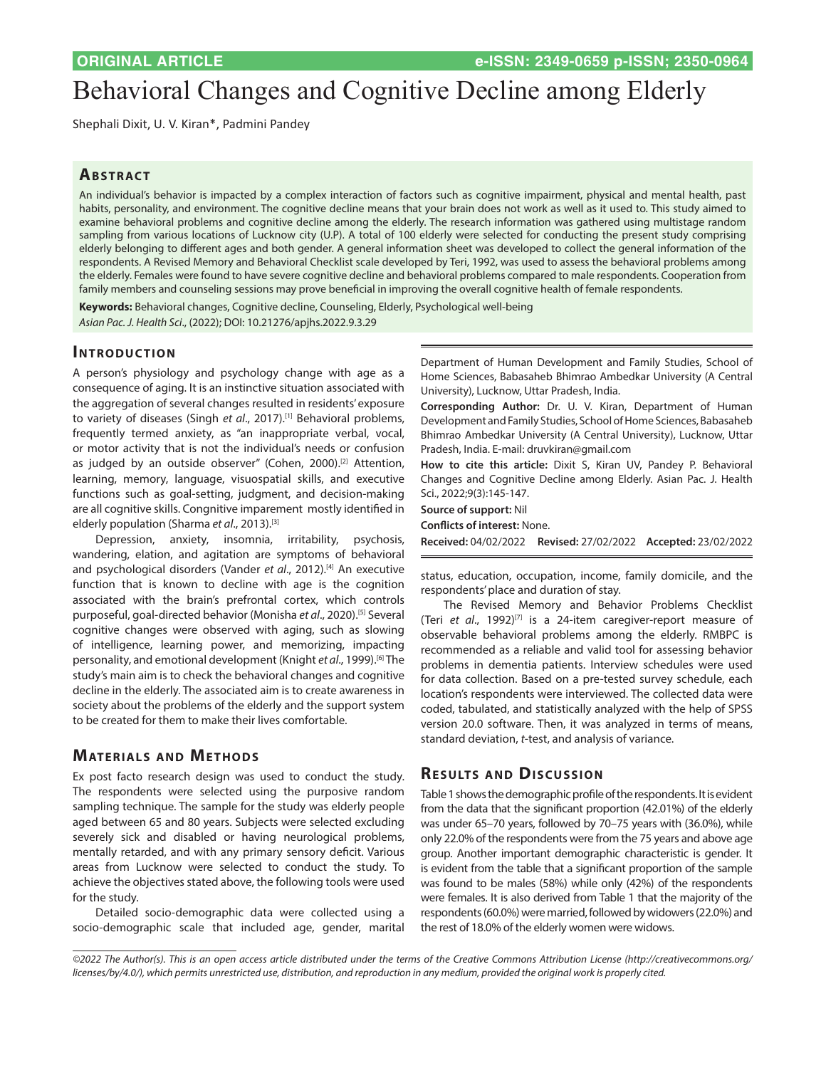# Behavioral Changes and Cognitive Decline among Elderly

Shephali Dixit, U. V. Kiran\*, Padmini Pandey

## **Ab s t rac t**

An individual's behavior is impacted by a complex interaction of factors such as cognitive impairment, physical and mental health, past habits, personality, and environment. The cognitive decline means that your brain does not work as well as it used to. This study aimed to examine behavioral problems and cognitive decline among the elderly. The research information was gathered using multistage random sampling from various locations of Lucknow city (U.P). A total of 100 elderly were selected for conducting the present study comprising elderly belonging to different ages and both gender. A general information sheet was developed to collect the general information of the respondents. A Revised Memory and Behavioral Checklist scale developed by Teri, 1992, was used to assess the behavioral problems among the elderly. Females were found to have severe cognitive decline and behavioral problems compared to male respondents. Cooperation from family members and counseling sessions may prove beneficial in improving the overall cognitive health of female respondents.

**Keywords:** Behavioral changes, Cognitive decline, Counseling, Elderly, Psychological well-being *Asian Pac. J. Health Sci*., (2022); DOI: 10.21276/apjhs.2022.9.3.29

**INTRODUCTION** 

A person's physiology and psychology change with age as a consequence of aging. It is an instinctive situation associated with the aggregation of several changes resulted in residents' exposure to variety of diseases (Singh *et al*., 2017).[1] Behavioral problems, frequently termed anxiety, as "an inappropriate verbal, vocal, or motor activity that is not the individual's needs or confusion as judged by an outside observer" (Cohen, 2000).<sup>[2]</sup> Attention, learning, memory, language, visuospatial skills, and executive functions such as goal-setting, judgment, and decision-making are all cognitive skills. Congnitive imparement mostly identified in elderly population (Sharma *et al*., 2013).[3]

Depression, anxiety, insomnia, irritability, psychosis, wandering, elation, and agitation are symptoms of behavioral and psychological disorders (Vander *et al.*, 2012).<sup>[4]</sup> An executive function that is known to decline with age is the cognition associated with the brain's prefrontal cortex, which controls purposeful, goal-directed behavior (Monisha *et al*., 2020).[5] Several cognitive changes were observed with aging, such as slowing of intelligence, learning power, and memorizing, impacting personality, and emotional development (Knight *et al*., 1999).[6] The study's main aim is to check the behavioral changes and cognitive decline in the elderly. The associated aim is to create awareness in society about the problems of the elderly and the support system to be created for them to make their lives comfortable.

# **MATERIALS AND METHODS**

Ex post facto research design was used to conduct the study. The respondents were selected using the purposive random sampling technique. The sample for the study was elderly people aged between 65 and 80 years. Subjects were selected excluding severely sick and disabled or having neurological problems, mentally retarded, and with any primary sensory deficit. Various areas from Lucknow were selected to conduct the study. To achieve the objectives stated above, the following tools were used for the study.

Detailed socio-demographic data were collected using a socio-demographic scale that included age, gender, marital

Department of Human Development and Family Studies, School of Home Sciences, Babasaheb Bhimrao Ambedkar University (A Central University), Lucknow, Uttar Pradesh, India.

**Corresponding Author:** Dr. U. V. Kiran, Department of Human Development and Family Studies, School of Home Sciences, Babasaheb Bhimrao Ambedkar University (A Central University), Lucknow, Uttar Pradesh, India. E-mail: druvkiran@gmail.com

**How to cite this article:** Dixit S, Kiran UV, Pandey P. Behavioral Changes and Cognitive Decline among Elderly. Asian Pac. J. Health Sci., 2022;9(3):145-147.

| <b>Source of support:</b> Nil |  |  |  |  |
|-------------------------------|--|--|--|--|
|-------------------------------|--|--|--|--|

**Conflicts of interest:** None.

**Received:** 04/02/2022 **Revised:** 27/02/2022 **Accepted:** 23/02/2022

status, education, occupation, income, family domicile, and the respondents' place and duration of stay.

The Revised Memory and Behavior Problems Checklist (Teri *et al*., 1992)[7] is a 24-item caregiver-report measure of observable behavioral problems among the elderly. RMBPC is recommended as a reliable and valid tool for assessing behavior problems in dementia patients. Interview schedules were used for data collection. Based on a pre-tested survey schedule, each location's respondents were interviewed. The collected data were coded, tabulated, and statistically analyzed with the help of SPSS version 20.0 software. Then, it was analyzed in terms of means, standard deviation, *t*-test, and analysis of variance.

#### **RESULTS AND DISCUSSION**

Table 1 shows the demographic profile of the respondents. It is evident from the data that the significant proportion (42.01%) of the elderly was under 65–70 years, followed by 70–75 years with (36.0%), while only 22.0% of the respondents were from the 75 years and above age group. Another important demographic characteristic is gender. It is evident from the table that a significant proportion of the sample was found to be males (58%) while only (42%) of the respondents were females. It is also derived from Table 1 that the majority of the respondents (60.0%) were married, followed by widowers (22.0%) and the rest of 18.0% of the elderly women were widows.

<sup>©2022</sup> The Author(s). This is an open access article distributed under the terms of the Creative Commons Attribution License [\(http://creativecommons.org/](http://creativecommons.org/licenses/by/4.0/) *[licenses/by/4.0/](http://creativecommons.org/licenses/by/4.0/)), which permits unrestricted use, distribution, and reproduction in any medium, provided the original work is properly cited.*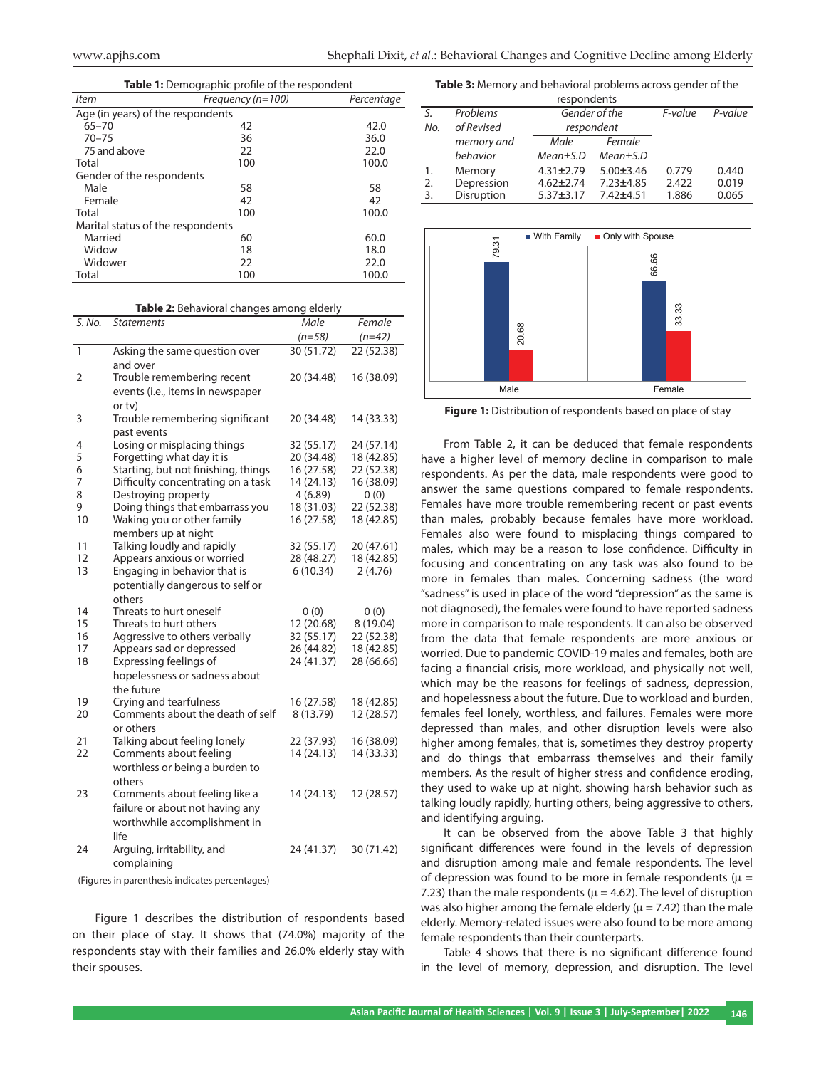| Table 1: Demographic profile of the respondent |                   |            |  |  |  |
|------------------------------------------------|-------------------|------------|--|--|--|
| <b>Item</b>                                    | Frequency (n=100) | Percentage |  |  |  |
| Age (in years) of the respondents              |                   |            |  |  |  |
| $65 - 70$                                      | 42                | 42.0       |  |  |  |
| $70 - 75$                                      | 36                | 36.0       |  |  |  |
| 75 and above                                   | 22                | 22.0       |  |  |  |
| Total                                          | 100               | 100.0      |  |  |  |
| Gender of the respondents                      |                   |            |  |  |  |
| Male                                           | 58                | 58         |  |  |  |
| Female                                         | 42                | 42         |  |  |  |
| Total                                          | 100               | 100.0      |  |  |  |
| Marital status of the respondents              |                   |            |  |  |  |
| Married                                        | 60                | 60.0       |  |  |  |
| Widow                                          | 18                | 18.0       |  |  |  |
| Widower                                        | 22                | 22.0       |  |  |  |
| Total                                          | 100               | 100.0      |  |  |  |

**Table 2:** Behavioral changes among elderly

| S. No. | <b>Statements</b>                         | Male       | Female     |
|--------|-------------------------------------------|------------|------------|
|        |                                           | $(n=58)$   | $(n=42)$   |
| 1      | Asking the same question over<br>and over | 30 (51.72) | 22 (52.38) |
| 2      | Trouble remembering recent                | 20 (34.48) | 16 (38.09) |
|        | events (i.e., items in newspaper          |            |            |
|        | or ty)                                    |            |            |
| 3      | Trouble remembering significant           | 20 (34.48) | 14 (33.33) |
|        | past events                               |            |            |
| 4      | Losing or misplacing things               | 32 (55.17) | 24 (57.14) |
| 5      | Forgetting what day it is                 | 20 (34.48) | 18 (42.85) |
| 6      | Starting, but not finishing, things       | 16 (27.58) | 22 (52.38) |
| 7      | Difficulty concentrating on a task        | 14 (24.13) | 16 (38.09) |
| 8      | Destroying property                       | 4(6.89)    | 0(0)       |
| 9      | Doing things that embarrass you           | 18 (31.03) | 22 (52.38) |
| 10     | Waking you or other family                | 16 (27.58) | 18 (42.85) |
|        | members up at night                       |            |            |
| 11     | Talking loudly and rapidly                | 32 (55.17) | 20 (47.61) |
| 12     | Appears anxious or worried                | 28 (48.27) | 18 (42.85) |
| 13     | Engaging in behavior that is              | 6(10.34)   | 2(4.76)    |
|        | potentially dangerous to self or          |            |            |
|        | others                                    |            |            |
| 14     | Threats to hurt oneself                   | 0(0)       | 0(0)       |
| 15     | Threats to hurt others                    | 12 (20.68) | 8 (19.04)  |
| 16     | Aggressive to others verbally             | 32 (55.17) | 22 (52.38) |
| 17     | Appears sad or depressed                  | 26 (44.82) | 18 (42.85) |
| 18     | Expressing feelings of                    | 24 (41.37) | 28 (66.66) |
|        | hopelessness or sadness about             |            |            |
|        | the future                                |            |            |
| 19     | Crying and tearfulness                    | 16 (27.58) | 18 (42.85) |
| 20     | Comments about the death of self          | 8 (13.79)  | 12 (28.57) |
|        | or others                                 |            |            |
| 21     | Talking about feeling lonely              | 22 (37.93) | 16 (38.09) |
| 22     | Comments about feeling                    | 14 (24.13) | 14 (33.33) |
|        | worthless or being a burden to            |            |            |
|        | others                                    |            |            |
| 23     | Comments about feeling like a             | 14 (24.13) | 12 (28.57) |
|        | failure or about not having any           |            |            |
|        | worthwhile accomplishment in              |            |            |
|        | life                                      |            |            |
| 24     | Arguing, irritability, and                | 24 (41.37) | 30 (71.42) |
|        | complaining                               |            |            |

(Figures in parenthesis indicates percentages)

Figure 1 describes the distribution of respondents based on their place of stay. It shows that (74.0%) majority of the respondents stay with their families and 26.0% elderly stay with their spouses.

**Table 3:** Memory and behavioral problems across gender of the

| respondents |            |                                  |                 |         |         |  |  |  |
|-------------|------------|----------------------------------|-----------------|---------|---------|--|--|--|
|             | Problems   | Gender of the                    |                 | F-value | P-value |  |  |  |
| No.         | of Revised | respondent                       |                 |         |         |  |  |  |
|             | memory and | Female<br>Male                   |                 |         |         |  |  |  |
|             | behavior   | $Mean \pm S.D$<br>$Mean \pm S.D$ |                 |         |         |  |  |  |
|             | Memory     | $4.31 \pm 2.79$                  | $5.00 \pm 3.46$ | 0.779   | 0.440   |  |  |  |
| 2.          | Depression | $4.62 \pm 2.74$                  | $7.23 + 4.85$   | 2.422   | 0.019   |  |  |  |
| 3.          | Disruption | $5.37 + 3.17$                    | $7.42 + 4.51$   | 1.886   | 0.065   |  |  |  |
|             |            |                                  |                 |         |         |  |  |  |



**Figure 1:** Distribution of respondents based on place of stay

From Table 2, it can be deduced that female respondents have a higher level of memory decline in comparison to male respondents. As per the data, male respondents were good to answer the same questions compared to female respondents. Females have more trouble remembering recent or past events than males, probably because females have more workload. Females also were found to misplacing things compared to males, which may be a reason to lose confidence. Difficulty in focusing and concentrating on any task was also found to be more in females than males. Concerning sadness (the word "sadness" is used in place of the word "depression" as the same is not diagnosed), the females were found to have reported sadness more in comparison to male respondents. It can also be observed from the data that female respondents are more anxious or worried. Due to pandemic COVID-19 males and females, both are facing a financial crisis, more workload, and physically not well, which may be the reasons for feelings of sadness, depression, and hopelessness about the future. Due to workload and burden, females feel lonely, worthless, and failures. Females were more depressed than males, and other disruption levels were also higher among females, that is, sometimes they destroy property and do things that embarrass themselves and their family members. As the result of higher stress and confidence eroding, they used to wake up at night, showing harsh behavior such as talking loudly rapidly, hurting others, being aggressive to others, and identifying arguing.

It can be observed from the above Table 3 that highly significant differences were found in the levels of depression and disruption among male and female respondents. The level of depression was found to be more in female respondents ( $\mu$  = 7.23) than the male respondents ( $\mu$  = 4.62). The level of disruption was also higher among the female elderly ( $\mu$  = 7.42) than the male elderly. Memory-related issues were also found to be more among female respondents than their counterparts.

Table 4 shows that there is no significant difference found in the level of memory, depression, and disruption. The level